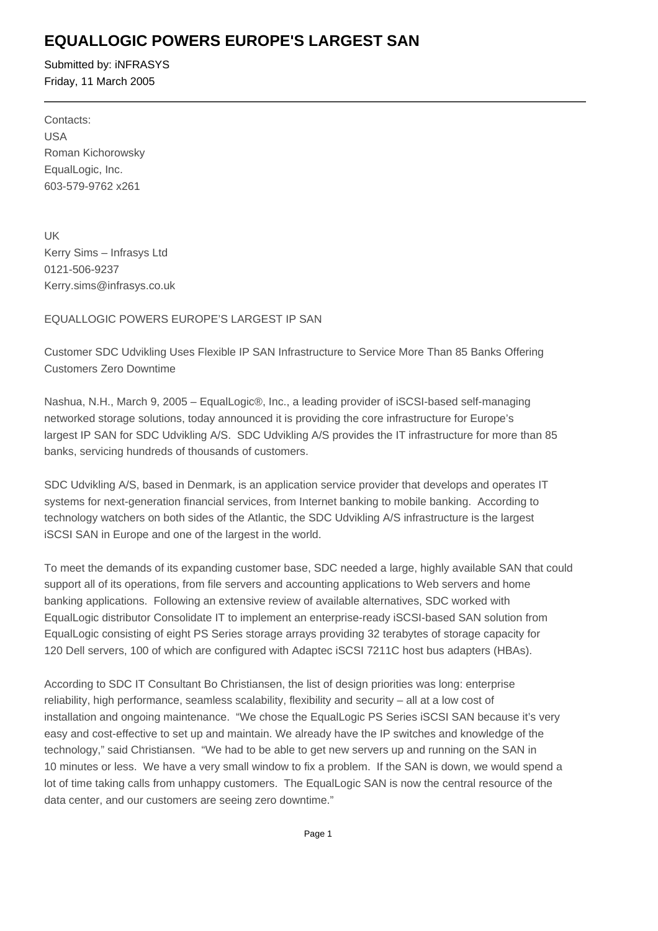## **EQUALLOGIC POWERS EUROPE'S LARGEST SAN**

Submitted by: iNFRASYS Friday, 11 March 2005

Contacts: USA Roman Kichorowsky EqualLogic, Inc. 603-579-9762 x261 

UK Kerry Sims – Infrasys Ltd 0121-506-9237 Kerry.sims@infrasys.co.uk

### EQUALLOGIC POWERS EUROPE'S LARGEST IP SAN

Customer SDC Udvikling Uses Flexible IP SAN Infrastructure to Service More Than 85 Banks Offering Customers Zero Downtime

Nashua, N.H., March 9, 2005 – EqualLogic®, Inc., a leading provider of iSCSI-based self-managing networked storage solutions, today announced it is providing the core infrastructure for Europe's largest IP SAN for SDC Udvikling A/S. SDC Udvikling A/S provides the IT infrastructure for more than 85 banks, servicing hundreds of thousands of customers.

SDC Udvikling A/S, based in Denmark, is an application service provider that develops and operates IT systems for next-generation financial services, from Internet banking to mobile banking. According to technology watchers on both sides of the Atlantic, the SDC Udvikling A/S infrastructure is the largest iSCSI SAN in Europe and one of the largest in the world.

To meet the demands of its expanding customer base, SDC needed a large, highly available SAN that could support all of its operations, from file servers and accounting applications to Web servers and home banking applications. Following an extensive review of available alternatives, SDC worked with EqualLogic distributor Consolidate IT to implement an enterprise-ready iSCSI-based SAN solution from EqualLogic consisting of eight PS Series storage arrays providing 32 terabytes of storage capacity for 120 Dell servers, 100 of which are configured with Adaptec iSCSI 7211C host bus adapters (HBAs).

According to SDC IT Consultant Bo Christiansen, the list of design priorities was long: enterprise reliability, high performance, seamless scalability, flexibility and security – all at a low cost of installation and ongoing maintenance. "We chose the EqualLogic PS Series iSCSI SAN because it's very easy and cost-effective to set up and maintain. We already have the IP switches and knowledge of the technology," said Christiansen. "We had to be able to get new servers up and running on the SAN in 10 minutes or less. We have a very small window to fix a problem. If the SAN is down, we would spend a lot of time taking calls from unhappy customers. The EqualLogic SAN is now the central resource of the data center, and our customers are seeing zero downtime."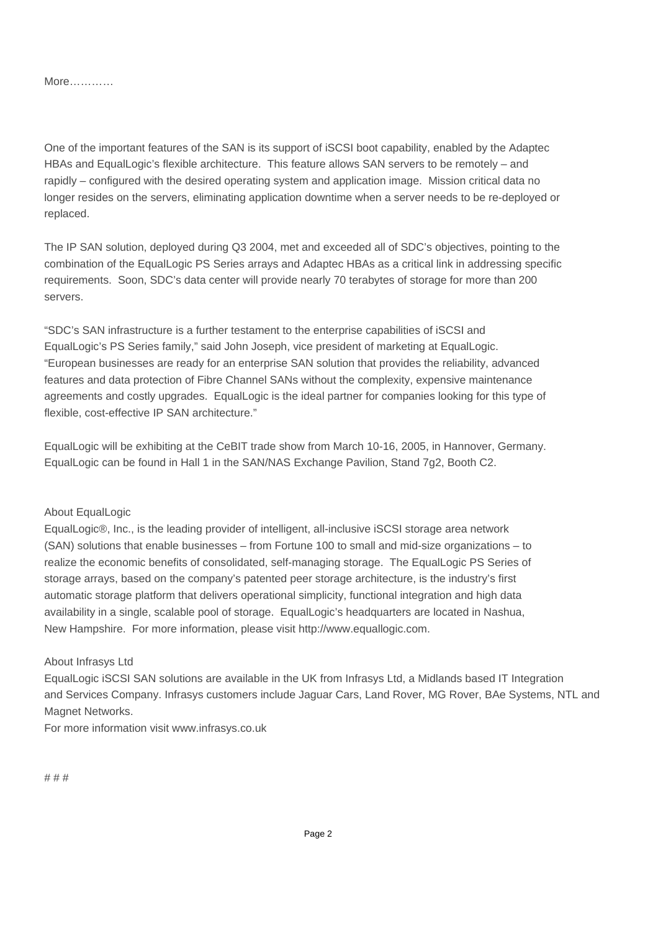More…………

One of the important features of the SAN is its support of iSCSI boot capability, enabled by the Adaptec HBAs and EqualLogic's flexible architecture. This feature allows SAN servers to be remotely – and rapidly – configured with the desired operating system and application image. Mission critical data no longer resides on the servers, eliminating application downtime when a server needs to be re-deployed or replaced.

The IP SAN solution, deployed during Q3 2004, met and exceeded all of SDC's objectives, pointing to the combination of the EqualLogic PS Series arrays and Adaptec HBAs as a critical link in addressing specific requirements. Soon, SDC's data center will provide nearly 70 terabytes of storage for more than 200 servers.

"SDC's SAN infrastructure is a further testament to the enterprise capabilities of iSCSI and EqualLogic's PS Series family," said John Joseph, vice president of marketing at EqualLogic. "European businesses are ready for an enterprise SAN solution that provides the reliability, advanced features and data protection of Fibre Channel SANs without the complexity, expensive maintenance agreements and costly upgrades. EqualLogic is the ideal partner for companies looking for this type of flexible, cost-effective IP SAN architecture."

EqualLogic will be exhibiting at the CeBIT trade show from March 10-16, 2005, in Hannover, Germany. EqualLogic can be found in Hall 1 in the SAN/NAS Exchange Pavilion, Stand 7g2, Booth C2.

#### About EqualLogic

EqualLogic®, Inc., is the leading provider of intelligent, all-inclusive iSCSI storage area network (SAN) solutions that enable businesses – from Fortune 100 to small and mid-size organizations – to realize the economic benefits of consolidated, self-managing storage. The EqualLogic PS Series of storage arrays, based on the company's patented peer storage architecture, is the industry's first automatic storage platform that delivers operational simplicity, functional integration and high data availability in a single, scalable pool of storage. EqualLogic's headquarters are located in Nashua, New Hampshire. For more information, please visit http://www.equallogic.com.

#### About Infrasys Ltd

EqualLogic iSCSI SAN solutions are available in the UK from Infrasys Ltd, a Midlands based IT Integration and Services Company. Infrasys customers include Jaguar Cars, Land Rover, MG Rover, BAe Systems, NTL and Magnet Networks.

For more information visit www.infrasys.co.uk